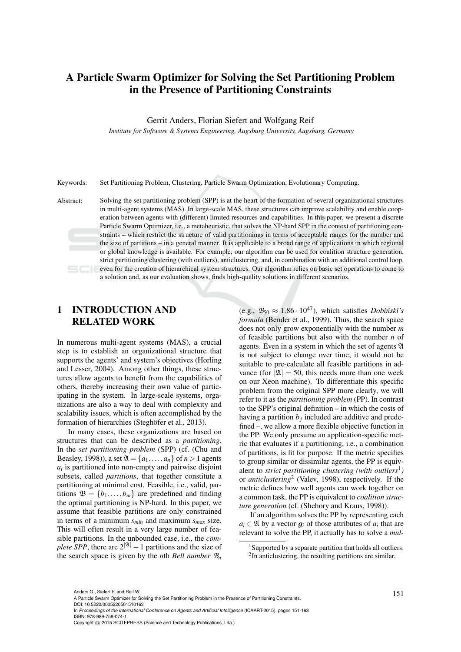# A Particle Swarm Optimizer for Solving the Set Partitioning Problem in the Presence of Partitioning Constraints

Gerrit Anders, Florian Siefert and Wolfgang Reif

*Institute for Software & Systems Engineering, Augsburg University, Augsburg, Germany*

Keywords: Set Partitioning Problem, Clustering, Particle Swarm Optimization, Evolutionary Computing.

Abstract: Solving the set partitioning problem (SPP) is at the heart of the formation of several organizational structures in multi-agent systems (MAS). In large-scale MAS, these structures can improve scalability and enable cooperation between agents with (different) limited resources and capabilities. In this paper, we present a discrete Particle Swarm Optimizer, i.e., a metaheuristic, that solves the NP-hard SPP in the context of partitioning constraints – which restrict the structure of valid partitionings in terms of acceptable ranges for the number and the size of partitions – in a general manner. It is applicable to a broad range of applications in which regional or global knowledge is available. For example, our algorithm can be used for coalition structure generation, strict partitioning clustering (with outliers), anticlustering, and, in combination with an additional control loop, even for the creation of hierarchical system structures. Our algorithm relies on basic set operations to come to a solution and, as our evaluation shows, finds high-quality solutions in different scenarios.

# 1 INTRODUCTION AND RELATED WORK

In numerous multi-agent systems (MAS), a crucial step is to establish an organizational structure that supports the agents' and system's objectives (Horling and Lesser, 2004). Among other things, these structures allow agents to benefit from the capabilities of others, thereby increasing their own value of participating in the system. In large-scale systems, organizations are also a way to deal with complexity and scalability issues, which is often accomplished by the formation of hierarchies (Steghöfer et al., 2013).

In many cases, these organizations are based on structures that can be described as a *partitioning*. In the *set partitioning problem* (SPP) (cf. (Chu and Beasley, 1998)), a set  $\mathfrak{A} = \{a_1, \ldots, a_n\}$  of  $n > 1$  agents  $a_i$  is partitioned into non-empty and pairwise disjoint subsets, called *partitions*, that together constitute a partitioning at minimal cost. Feasible, i.e., valid, partitions  $\mathfrak{B} = \{b_1, \ldots, b_m\}$  are predefined and finding the optimal partitioning is NP-hard. In this paper, we assume that feasible partitions are only constrained in terms of a minimum *smin* and maximum *smax* size. This will often result in a very large number of feasible partitions. In the unbounded case, i.e., the *complete SPP*, there are  $2^{|\mathfrak{A}|} - 1$  partitions and the size of the search space is given by the *n*th *Bell number*  $B_n$ 

(e.g.,  $B_{50} \approx 1.86 \cdot 10^{47}$ ), which satisfies *Dobiński's formula* (Bender et al., 1999). Thus, the search space does not only grow exponentially with the number *m* of feasible partitions but also with the number *n* of agents. Even in a system in which the set of agents  $\mathfrak A$ is not subject to change over time, it would not be suitable to pre-calculate all feasible partitions in advance (for  $|\mathfrak{A}| = 50$ , this needs more than one week on our Xeon machine). To differentiate this specific problem from the original SPP more clearly, we will refer to it as the *partitioning problem* (PP). In contrast to the SPP's original definition – in which the costs of having a partition  $b_j$  included are additive and predefined –, we allow a more flexible objective function in the PP: We only presume an application-specific metric that evaluates if a partitioning, i.e., a combination of partitions, is fit for purpose. If the metric specifies to group similar or dissimilar agents, the PP is equivalent to *strict partitioning clustering (with outliers*<sup>1</sup> *)* or *anticlustering*<sup>2</sup> (Valev, 1998), respectively. If the metric defines how well agents can work together on a common task, the PP is equivalent to *coalition structure generation* (cf. (Shehory and Kraus, 1998)).

If an algorithm solves the PP by representing each  $a_i \in \mathfrak{A}$  by a vector  $g_i$  of those attributes of  $a_i$  that are relevant to solve the PP, it actually has to solve a *mul-*

<sup>&</sup>lt;sup>1</sup> Supported by a separate partition that holds all outliers. <sup>2</sup>In anticlustering, the resulting partitions are similar.

<sup>151</sup> Anders G., Siefert F. and Reif W.. A Particle Swarm Optimizer for Solving the Set Partitioning Problem in the Presence of Partitioning Constraints. DOI: 10.5220/0005220501510163

In *Proceedings of the International Conference on Agents and Artificial Intelligence* (ICAART-2015), pages 151-163 ISBN: 978-989-758-074-1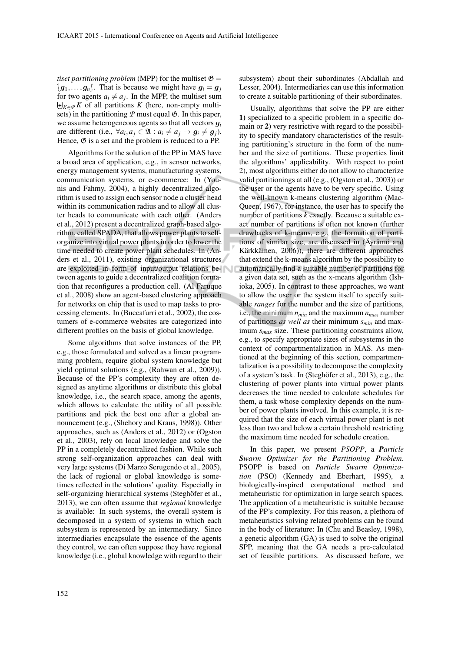*tiset partitioning problem* (MPP) for the multiset  $\mathfrak{G} =$  $(g_1,...,g_n)$ . That is because we might have  $g_i = g_j$ for two agents  $a_i \neq a_j$ . In the MPP, the multiset sum  $\biguplus_{K \in \mathcal{P}} K$  of all partitions *K* (here, non-empty multisets) in the partitioning  $P$  must equal  $\mathfrak{G}$ . In this paper, we assume heterogeneous agents so that all vectors g*<sup>i</sup>* are different (i.e.,  $\forall a_i, a_j \in \mathfrak{A} : a_i \neq a_j \rightarrow g_i \neq g_j$ ). Hence,  $\mathfrak{G}$  is a set and the problem is reduced to a PP.

Algorithms for the solution of the PP in MAS have a broad area of application, e.g., in sensor networks, energy management systems, manufacturing systems, communication systems, or e-commerce: In (Younis and Fahmy, 2004), a highly decentralized algorithm is used to assign each sensor node a cluster head within its communication radius and to allow all cluster heads to communicate with each other. (Anders et al., 2012) present a decentralized graph-based algorithm, called SPADA, that allows power plants to selforganize into virtual power plants in order to lower the time needed to create power plant schedules. In (Anders et al., 2011), existing organizational structures are exploited in form of input/output relations between agents to guide a decentralized coalition formation that reconfigures a production cell. (Al Faruque et al., 2008) show an agent-based clustering approach for networks on chip that is used to map tasks to processing elements. In (Buccafurri et al., 2002), the costumers of e-commerce websites are categorized into different profiles on the basis of global knowledge.

Some algorithms that solve instances of the PP, e.g., those formulated and solved as a linear programming problem, require global system knowledge but yield optimal solutions (e.g., (Rahwan et al., 2009)). Because of the PP's complexity they are often designed as anytime algorithms or distribute this global knowledge, i.e., the search space, among the agents, which allows to calculate the utility of all possible partitions and pick the best one after a global announcement (e.g., (Shehory and Kraus, 1998)). Other approaches, such as (Anders et al., 2012) or (Ogston et al., 2003), rely on local knowledge and solve the PP in a completely decentralized fashion. While such strong self-organization approaches can deal with very large systems (Di Marzo Serugendo et al., 2005), the lack of regional or global knowledge is sometimes reflected in the solutions' quality. Especially in self-organizing hierarchical systems (Steghöfer et al., 2013), we can often assume that *regional* knowledge is available: In such systems, the overall system is decomposed in a system of systems in which each subsystem is represented by an intermediary. Since intermediaries encapsulate the essence of the agents they control, we can often suppose they have regional knowledge (i.e., global knowledge with regard to their subsystem) about their subordinates (Abdallah and Lesser, 2004). Intermediaries can use this information to create a suitable partitioning of their subordinates.

Usually, algorithms that solve the PP are either 1) specialized to a specific problem in a specific domain or 2) very restrictive with regard to the possibility to specify mandatory characteristics of the resulting partitioning's structure in the form of the number and the size of partitions. These properties limit the algorithms' applicability. With respect to point 2), most algorithms either do not allow to characterize valid partitionings at all (e.g., (Ogston et al., 2003)) or the user or the agents have to be very specific. Using the well-known k-means clustering algorithm (Mac-Queen, 1967), for instance, the user has to specify the number of partitions *k* exactly. Because a suitable exact number of partitions is often not known (further drawbacks of k-means, e.g., the formation of partitions of similar size, are discussed in (Äyrämö and Kärkkäinen, 2006)), there are different approaches that extend the k-means algorithm by the possibility to automatically find a suitable number of partitions for a given data set, such as the x-means algorithm (Ishioka, 2005). In contrast to these approaches, we want to allow the user or the system itself to specify suitable *ranges* for the number and the size of partitions, i.e., the minimum  $n_{min}$  and the maximum  $n_{max}$  number of partitions *as well as* their minimum *smin* and maximum *smax* size. These partitioning constraints allow, e.g., to specify appropriate sizes of subsystems in the context of compartmentalization in MAS. As mentioned at the beginning of this section, compartmentalization is a possibility to decompose the complexity of a system's task. In (Steghöfer et al., 2013), e.g., the clustering of power plants into virtual power plants decreases the time needed to calculate schedules for them, a task whose complexity depends on the number of power plants involved. In this example, it is required that the size of each virtual power plant is not less than two and below a certain threshold restricting the maximum time needed for schedule creation.

In this paper, we present *PSOPP*, a *Particle Swarm Optimizer for the Partitioning Problem*. PSOPP is based on *Particle Swarm Optimization* (PSO) (Kennedy and Eberhart, 1995), a biologically-inspired computational method and metaheuristic for optimization in large search spaces. The application of a metaheuristic is suitable because of the PP's complexity. For this reason, a plethora of metaheuristics solving related problems can be found in the body of literature: In (Chu and Beasley, 1998), a genetic algorithm (GA) is used to solve the original SPP, meaning that the GA needs a pre-calculated set of feasible partitions. As discussed before, we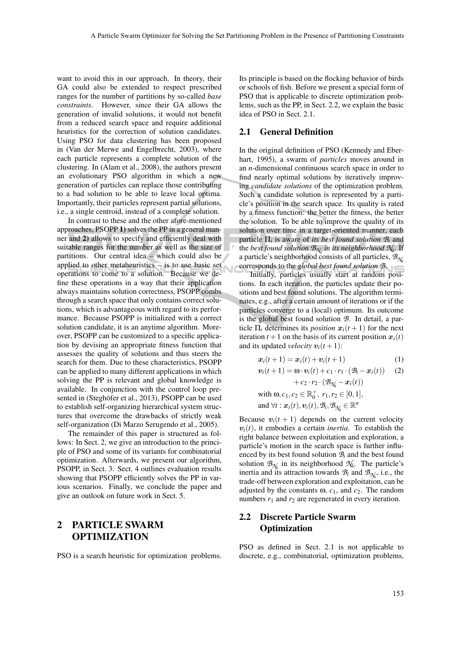N

want to avoid this in our approach. In theory, their GA could also be extended to respect prescribed ranges for the number of partitions by so-called *base constraints*. However, since their GA allows the generation of invalid solutions, it would not benefit from a reduced search space and require additional heuristics for the correction of solution candidates. Using PSO for data clustering has been proposed in (Van der Merwe and Engelbrecht, 2003), where each particle represents a complete solution of the clustering. In (Alam et al., 2008), the authors present an evolutionary PSO algorithm in which a new generation of particles can replace those contributing to a bad solution to be able to leave local optima. Importantly, their particles represent partial solutions, i.e., a single centroid, instead of a complete solution.

In contrast to these and the other afore-mentioned approaches, PSOPP 1) solves the PP in a general manner and 2) allows to specify and efficiently deal with suitable ranges for the number as well as the size of partitions. Our central idea – which could also be applied to other metaheuristics – is to use basic set operations to come to a solution. Because we define these operations in a way that their application always maintains solution correctness, PSOPP combs through a search space that only contains correct solutions, which is advantageous with regard to its performance. Because PSOPP is initialized with a correct solution candidate, it is an anytime algorithm. Moreover, PSOPP can be customized to a specific application by devising an appropriate fitness function that assesses the quality of solutions and thus steers the search for them. Due to these characteristics, PSOPP can be applied to many different applications in which solving the PP is relevant and global knowledge is available. In conjunction with the control loop presented in (Steghöfer et al., 2013), PSOPP can be used to establish self-organizing hierarchical system structures that overcome the drawbacks of strictly weak self-organization (Di Marzo Serugendo et al., 2005).

The remainder of this paper is structured as follows: In Sect. 2, we give an introduction to the principle of PSO and some of its variants for combinatorial optimization. Afterwards, we present our algorithm, PSOPP, in Sect. 3. Sect. 4 outlines evaluation results showing that PSOPP efficiently solves the PP in various scenarios. Finally, we conclude the paper and give an outlook on future work in Sect. 5.

# 2 PARTICLE SWARM OPTIMIZATION

PSO is a search heuristic for optimization problems.

Its principle is based on the flocking behavior of birds or schools of fish. Before we present a special form of PSO that is applicable to discrete optimization problems, such as the PP, in Sect. 2.2, we explain the basic idea of PSO in Sect. 2.1.

#### 2.1 General Definition

In the original definition of PSO (Kennedy and Eberhart, 1995), a swarm of *particles* moves around in an *n*-dimensional continuous search space in order to find nearly optimal solutions by iteratively improving *candidate solutions* of the optimization problem. Such a candidate solution is represented by a particle's position in the search space. Its quality is rated by a fitness function: the better the fitness, the better the solution. To be able to improve the quality of its solution over time in a target-oriented manner, each particle Π*<sup>i</sup>* is aware of *its best found solution B<sup>i</sup>* and the *best found solution*  $\mathcal{B}_{\mathcal{N}_t}$  *in its neighborhood*  $\mathcal{N}_t$ *.* If a particle's neighborhood consists of all particles, *BN<sup>i</sup>* corresponds to the *global best found solution B*.

Initially, particles usually start at random positions. In each iteration, the particles update their positions and best found solutions. The algorithm terminates, e.g., after a certain amount of iterations or if the particles converge to a (local) optimum. Its outcome is the global best found solution *B*. In detail, a particle  $\Pi_i$  determines its *position*  $x_i(t+1)$  for the next iteration  $t + 1$  on the basis of its current position  $x_i(t)$ and its updated *velocity*  $v_i(t+1)$ :

$$
\boldsymbol{x}_i(t+1) = \boldsymbol{x}_i(t) + \boldsymbol{v}_i(t+1) \tag{1}
$$

$$
\mathbf{v}_i(t+1) = \mathbf{\omega} \cdot \mathbf{v}_i(t) + c_1 \cdot r_1 \cdot (\mathcal{B}_i - \mathbf{x}_i(t)) \quad (2)
$$

$$
+ c_2 \cdot r_2 \cdot (\mathcal{B}_{\mathcal{H}_i} - \mathbf{x}_i(t))
$$

with 
$$
\omega
$$
,  $c_1$ ,  $c_2 \in \mathbb{R}_0^+$ ,  $r_1$ ,  $r_2 \in [0, 1]$ ,  
and  $\forall t : x_i(t), v_i(t), \mathcal{B}_i, \mathcal{B}_{\mathcal{H}_i} \in \mathbb{R}^n$ 

Because  $v_i(t + 1)$  depends on the current velocity  $v_i(t)$ , it embodies a certain *inertia*. To establish the right balance between exploitation and exploration, a particle's motion in the search space is further influenced by its best found solution  $B_i$  and the best found solution  $B_{N_i}$  in its neighborhood  $N_i$ . The particle's inertia and its attraction towards  $B_i$  and  $B_{\mathcal{N}_i}$ , i.e., the trade-off between exploration and exploitation, can be adjusted by the constants  $\omega$ ,  $c_1$ , and  $c_2$ . The random numbers  $r_1$  and  $r_2$  are regenerated in every iteration.

# 2.2 Discrete Particle Swarm **Optimization**

PSO as defined in Sect. 2.1 is not applicable to discrete, e.g., combinatorial, optimization problems,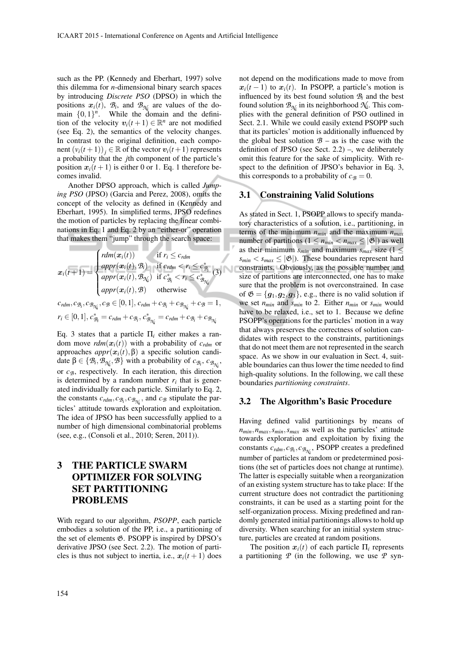such as the PP. (Kennedy and Eberhart, 1997) solve this dilemma for *n*-dimensional binary search spaces by introducing *Discrete PSO* (DPSO) in which the positions  $x_i(t)$ ,  $B_i$ , and  $B_{\mathcal{N}_i}$  are values of the domain  $\{0,1\}$ <sup>n</sup>. While the domain and the definition of the velocity  $v_i(t+1) \in \mathbb{R}^n$  are not modified (see Eq. 2), the semantics of the velocity changes. In contrast to the original definition, each component  $(v_i(t+1))_i \in \mathbb{R}$  of the vector  $v_i(t+1)$  represents a probability that the *j*th component of the particle's position  $x_i(t+1)$  is either 0 or 1. Eq. 1 therefore becomes invalid.

Another DPSO approach, which is called *Jumping PSO* (JPSO) (Garcia and Perez, 2008), omits the concept of the velocity as defined in (Kennedy and Eberhart, 1995). In simplified terms, JPSO redefines the motion of particles by replacing the linear combinations in Eq. 1 and Eq. 2 by an "either-or" operation that makes them "jump" through the search space:

$$
x_i(t+1) = \begin{cases} rdm(x_i(t)) & \text{if } r_i \leq c_{rdm} \\ appr(x_i(t), \mathcal{B}_i) & \text{if } c_{rdm} < r_i \leq c_{\mathcal{B}_i}^* \\ appr(x_i(t), \mathcal{B}_{\mathcal{N}_i}) & \text{if } c_{\mathcal{B}_i}^* < r_i \leq c_{\mathcal{B}_{\mathcal{N}_i}}^* \end{cases} (3)
$$
  

$$
c_{rdm}, c_{\mathcal{B}_i}, c_{\mathcal{B}_{\mathcal{N}_i}}, c_{\mathcal{B}} \in [0, 1], c_{rdm} + c_{\mathcal{B}_i} + c_{\mathcal{B}_{\mathcal{N}_i}} + c_{\mathcal{B}} = 1,
$$
  

$$
r_i \in [0, 1], c_{\mathcal{B}_i}^* = c_{rdm} + c_{\mathcal{B}_i}, c_{\mathcal{B}_{\mathcal{N}_i}}^* = c_{rdm} + c_{\mathcal{B}_i} + c_{\mathcal{B}_{\mathcal{N}_i}}
$$

Eq. 3 states that a particle Π*<sup>i</sup>* either makes a random move  $rdm(x_i(t))$  with a probability of  $c_{rdm}$  or approaches  $appr(x<sub>i</sub>(t), β)$  a specific solution candidate  $\beta \in \{B_i, B_{\gamma_i}, B\}$  with a probability of  $c_{B_i}, c_{B_{\gamma_i}}$ , or  $c_B$ , respectively. In each iteration, this direction is determined by a random number  $r_i$  that is generated individually for each particle. Similarly to Eq. 2, the constants  $c_{rdm}, c_{\mathcal{B}_i}, c_{\mathcal{B}_{\mathcal{N}_i}}$ , and  $c_{\mathcal{B}}$  stipulate the particles' attitude towards exploration and exploitation. The idea of JPSO has been successfully applied to a number of high dimensional combinatorial problems (see, e.g., (Consoli et al., 2010; Seren, 2011)).

# 3 THE PARTICLE SWARM OPTIMIZER FOR SOLVING SET PARTITIONING PROBLEMS

With regard to our algorithm, *PSOPP*, each particle embodies a solution of the PP, i.e., a partitioning of the set of elements G. PSOPP is inspired by DPSO's derivative JPSO (see Sect. 2.2). The motion of particles is thus not subject to inertia, i.e.,  $x_i(t+1)$  does not depend on the modifications made to move from  $x_i(t-1)$  to  $x_i(t)$ . In PSOPP, a particle's motion is influenced by its best found solution  $B_i$  and the best found solution  $\mathcal{B}_{\mathcal{N}_i}$  in its neighborhood  $\mathcal{N}_i$ . This complies with the general definition of PSO outlined in Sect. 2.1. While we could easily extend PSOPP such that its particles' motion is additionally influenced by the global best solution  $\mathcal{B}$  – as is the case with the definition of JPSO (see Sect. 2.2) –, we deliberately omit this feature for the sake of simplicity. With respect to the definition of JPSO's behavior in Eq. 3, this corresponds to a probability of  $c_B = 0$ .

### 3.1 Constraining Valid Solutions

As stated in Sect. 1, PSOPP allows to specify mandatory characteristics of a solution, i.e., partitioning, in terms of the minimum  $n_{min}$  and the maximum  $n_{max}$ number of partitions  $(1 \le n_{min} < n_{max} \le |\mathfrak{G}|)$  as well as their minimum  $s_{min}$  and maximum  $s_{max}$  size (1  $\leq$  $s_{min} < s_{max} \leq |\mathfrak{G}|$ ). These boundaries represent hard constraints. Obviously, as the possible number and size of partitions are interconnected, one has to make sure that the problem is not overconstrained. In case of  $\mathfrak{G} = \{g_1, g_2, g_3\}$ , e.g., there is no valid solution if we set  $n_{min}$  and  $s_{min}$  to 2. Either  $n_{min}$  or  $s_{min}$  would have to be relaxed, i.e., set to 1. Because we define PSOPP's operations for the particles' motion in a way that always preserves the correctness of solution candidates with respect to the constraints, partitionings that do not meet them are not represented in the search space. As we show in our evaluation in Sect. 4, suitable boundaries can thus lower the time needed to find high-quality solutions. In the following, we call these boundaries *partitioning constraints*.

#### 3.2 The Algorithm's Basic Procedure

Having defined valid partitionings by means of  $n_{min}, n_{max}, s_{min}, s_{max}$  as well as the particles' attitude towards exploration and exploitation by fixing the constants  $c_{rdm}, c_{\mathcal{B}_i}, c_{\mathcal{B}_{\mathcal{N}_i}}$ , PSOPP creates a predefined number of particles at random or predetermined positions (the set of particles does not change at runtime). The latter is especially suitable when a reorganization of an existing system structure has to take place: If the current structure does not contradict the partitioning constraints, it can be used as a starting point for the self-organization process. Mixing predefined and randomly generated initial partitionings allows to hold up diversity. When searching for an initial system structure, particles are created at random positions.

The position  $x_i(t)$  of each particle  $\Pi_i$  represents a partitioning *P* (in the following, we use *P* syn-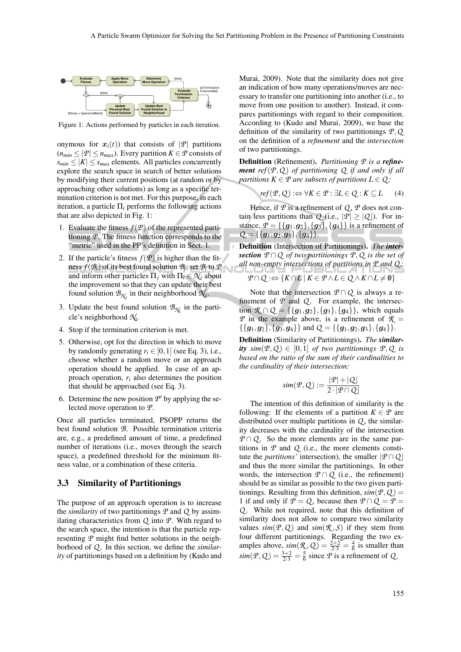

Figure 1: Actions performed by particles in each iteration.

onymous for  $x_i(t)$ ) that consists of  $|P|$  partitions  $(n_{min} \leq |\mathcal{P}| \leq n_{max})$ . Every partition  $K \in \mathcal{P}$  consists of  $s_{min} \leq |K| \leq s_{max}$  elements. All particles concurrently explore the search space in search of better solutions by modifying their current positions (at random or by approaching other solutions) as long as a specific termination criterion is not met. For this purpose, in each iteration, a particle  $\Pi_i$  performs the following actions that are also depicted in Fig. 1:

- 1. Evaluate the fitness  $f(P)$  of the represented partitioning *P*. The fitness function corresponds to the "metric" used in the PP's definition in Sect. 1.
- 2. If the particle's fitness  $f(P)$  is higher than the fitness  $f(\mathcal{B}_i)$  of its best found solution  $\mathcal{B}_i$ , set  $\mathcal{B}_i$  to  $\mathcal {P}$ and inform other particles  $\Pi_i$  with  $\Pi_i \in \mathcal{N}_i$  about the improvement so that they can update their best found solution  $\mathcal{B}_{\mathcal{N}_j}$  in their neighborhood  $\mathcal{N}_j$ .
- 3. Update the best found solution  $\mathcal{B}_{\mathcal{N}_i}$  in the particle's neighborhood *N<sup>i</sup>* .
- 4. Stop if the termination criterion is met.
- 5. Otherwise, opt for the direction in which to move by randomly generating  $r_i \in [0,1]$  (see Eq. 3), i.e., choose whether a random move or an approach operation should be applied. In case of an approach operation, *r<sup>i</sup>* also determines the position that should be approached (see Eq. 3).
- 6. Determine the new position  $P'$  by applying the selected move operation to *P*.

Once all particles terminated, PSOPP returns the best found solution *B*. Possible termination criteria are, e.g., a predefined amount of time, a predefined number of iterations (i.e., moves through the search space), a predefined threshold for the minimum fitness value, or a combination of these criteria.

#### 3.3 Similarity of Partitionings

The purpose of an approach operation is to increase the *similarity* of two partitionings  $P$  and  $Q$  by assimilating characteristics from *Q* into *P*. With regard to the search space, the intention is that the particle representing *P* might find better solutions in the neighborhood of *Q* . In this section, we define the *similarity* of partitionings based on a definition by (Kudo and

Murai, 2009). Note that the similarity does not give an indication of how many operations/moves are necessary to transfer one partitioning into another (i.e., to move from one position to another). Instead, it compares partitionings with regard to their composition. According to (Kudo and Murai, 2009), we base the definition of the similarity of two partitionings *P*,*Q* on the definition of a *refinement* and the *intersection* of two partitionings.

Definition (Refinement). *Partitioning P is a refinement ref*(*P*,*Q* ) *of partitioning Q if and only if all partitions*  $K \in \mathcal{P}$  *are subsets of partitions*  $L \in \mathcal{Q}$ *:* 

$$
ref(\mathcal{P}, \mathcal{Q}) :\Leftrightarrow \forall K \in \mathcal{P} : \exists L \in \mathcal{Q} : K \subseteq L \qquad (4)
$$

Hence, if  $\mathcal{P}$  is a refinement of  $Q$ ,  $\mathcal{P}$  does not contain less partitions than *Q* (i.e.,  $|P| \ge |Q|$ ). For instance,  $P = \{\{g_1, g_2\}, \{g_3\}, \{g_4\}\}\$ is a refinement of  $Q = \{\{g_1, g_2, g_3\}, \{g_4\}\}.$ 

Definition (Intersection of Partitionings). *The intersection*  $P \cap Q$  *of two partitionings*  $P, Q$  *is the set of all non-empty intersections of partitions in P and Q :*

$$
\mathcal{P} \cap Q : \Leftrightarrow \{ K \cap L \mid K \in \mathcal{P} \land L \in Q \land K \cap L \neq \emptyset \}
$$

Note that the intersection  $P \cap Q$  is always a refinement of  $P$  and  $Q$ . For example, the intersection  $\mathcal{R} \cap Q = \{\{g_1, g_2\}, \{g_3\}, \{g_4\}\}\$ , which equals *P* in the example above, is a refinement of  $\mathcal{R}$  =  $\{\{g_1,g_2\},\{g_3,g_4\}\}\$ and  $Q = \{\{g_1,g_2,g_3\},\{g_4\}\}.$ 

Definition (Similarity of Partitionings). *The similarity*  $\sin(P, Q) \in [0, 1]$  *of two partitionings*  $P, Q$  *is based on the ratio of the sum of their cardinalities to the cardinality of their intersection:*

$$
sim(\mathcal{P}, Q) := \frac{|\mathcal{P}| + |Q|}{2 \cdot |\mathcal{P} \cap Q|}
$$

The intention of this definition of similarity is the following: If the elements of a partition  $K \in \mathcal{P}$  are distributed over multiple partitions in *Q* , the similarity decreases with the cardinality of the intersection *P* ∩ *Q*. So the more elements are in the same partitions in  $P$  and  $Q$  (i.e., the more elements constitute the *partitions'* intersection), the smaller  $|P \cap Q|$ and thus the more similar the partitionings. In other words, the intersection  $P \cap Q$  (i.e., the refinement) should be as similar as possible to the two given partitionings. Resulting from this definition,  $sim(P, Q)$  = 1 if and only if  $P = Q$ , because then  $P \cap Q = P$ *Q* . While not required, note that this definition of similarity does not allow to compare two similarity values  $sim(P, Q)$  and  $sim(R, S)$  if they stem from four different partitionings. Regarding the two examples above,  $\sin(\mathcal{R}, \mathcal{Q}) = \frac{2+2}{2\cdot3} = \frac{4}{6}$  is smaller than  $\text{sim}(P, Q) = \frac{3+2}{2 \cdot 3} = \frac{5}{6}$  since *P* is a refinement of *Q*.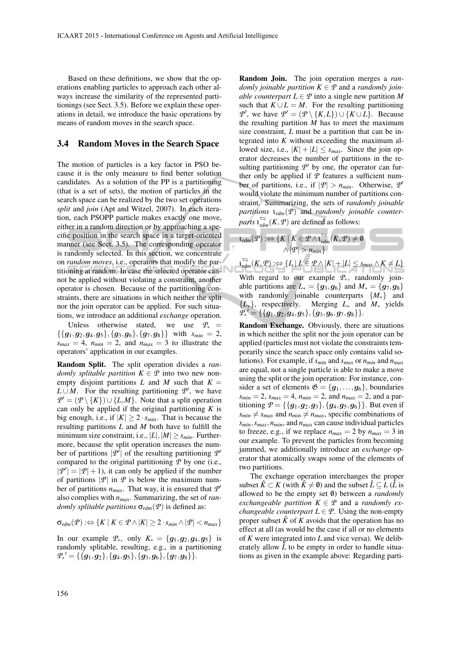Based on these definitions, we show that the operations enabling particles to approach each other always increase the similarity of the represented partitionings (see Sect. 3.5). Before we explain these operations in detail, we introduce the basic operations by means of random moves in the search space.

#### 3.4 Random Moves in the Search Space

The motion of particles is a key factor in PSO because it is the only measure to find better solution candidates. As a solution of the PP is a partitioning (that is a set of sets), the motion of particles in the search space can be realized by the two set operations *split* and *join* (Apt and Witzel, 2007). In each iteration, each PSOPP particle makes exactly one move, either in a random direction or by approaching a specific position in the search space in a target-oriented manner (see Sect. 3.5). The corresponding operator is randomly selected. In this section, we concentrate on *random moves*, i.e., operators that modify the partitioning at random. In case the selected operator cannot be applied without violating a constraint, another operator is chosen. Because of the partitioning constraints, there are situations in which neither the split nor the join operator can be applied. For such situations, we introduce an additional *exchange* operation.

Unless otherwise stated, we use  $P_*$  =  $\{\{g_1,g_2,g_4,g_5\},\{g_3,g_6\},\{g_7,g_8\}\}\$  with  $s_{min}=2$ ,  $s_{max} = 4$ ,  $n_{min} = 2$ , and  $n_{max} = 3$  to illustrate the operators' application in our examples.

Random Split. The split operation divides a *randomly splitable partition*  $K \in \mathcal{P}$  into two new nonempty disjoint partitions *L* and *M* such that  $K =$  $L \cup M$ . For the resulting partitioning  $\mathcal{P}'$ , we have  $P' = (P \setminus \{K\}) \cup \{L, M\}$ . Note that a split operation can only be applied if the original partitioning *K* is big enough, i.e., if  $|K| \geq 2 \cdot s_{min}$ . That is because the resulting partitions *L* and *M* both have to fulfill the minimum size constraint, i.e.,  $|L|, |M| \geq s_{min}$ . Furthermore, because the split operation increases the number of partitions  $|P^{\hat{}}|$  of the resulting partitioning  $P^{\hat{}}$ compared to the original partitioning *P* by one (i.e.,  $|\mathcal{P}'| = |\mathcal{P}| + 1$ , it can only be applied if the number of partitions  $|\mathcal{P}|$  in  $\mathcal P$  is below the maximum number of partitions  $n_{max}$ . That way, it is ensured that  $P'$ also complies with *nmax*. Summarizing, the set of *randomly splitable partitions*  $\sigma_{rdm}(\mathcal{P})$  is defined as:

$$
\sigma_{rdm}(\mathcal{P}) : \Leftrightarrow \{ K \mid K \in \mathcal{P} \land |K| \geq 2 \cdot s_{min} \land |\mathcal{P}| < n_{max} \}
$$

In our example  $P_{*}$ , only  $K_{*} = \{g_1, g_2, g_4, g_5\}$  is randomly splitable, resulting, e.g., in a partitioning  $\mathcal{P_{\ast}}' = \{ \{\boldsymbol{g_1}, \boldsymbol{g_2}\}, \{\boldsymbol{g_4}, \boldsymbol{g_5}\}, \{\boldsymbol{g_3}, \boldsymbol{g_6}\}, \{\boldsymbol{g_7}, \boldsymbol{g_8}\} \}.$ 

Random Join. The join operation merges a *randomly joinable partition*  $K \in \mathcal{P}$  and a *randomly joinable counterpart*  $L \in \mathcal{P}$  into a single new partition M such that  $K \cup L = M$ . For the resulting partitioning *P*<sup> $\prime$ </sup>, we have  $P' = (P \setminus \{K, L\}) \cup \{K \cup L\}$ . Because the resulting partition  $M$  has to meet the maximum size constraint, *L* must be a partition that can be integrated into *K* without exceeding the maximum allowed size, i.e.,  $|K| + |L| \leq s_{max}$ . Since the join operator decreases the number of partitions in the resulting partitioning  $P'$  by one, the operator can further only be applied if  $P$  features a sufficient number of partitions, i.e., if  $|\mathcal{P}| > n_{min}$ . Otherwise,  $\mathcal{P}'$ would violate the minimum number of partitions constraint. Summarizing, the sets of *randomly joinable partitions* ι*rdm*(*P*) and *randomly joinable counterparts*  $\iota_{rdm}^{\Longleftrightarrow}(K, P)$  are defined as follows:

$$
\iota_{rdm}(\mathcal{P}) : \Leftrightarrow \{K \mid K \in \mathcal{P} \wedge \iota_{rdm}^{\leftrightarrows}(K, \mathcal{P}) \neq \emptyset \qquad \qquad \wedge |\mathcal{P}| > n_{min}\}
$$

 $\mathcal{P} \xrightarrow[\mathit{rdm}]{\hookrightarrow} \{L \mid L \in \mathcal{P} \wedge |K| + |L| \leq s_{max} \wedge K \neq L\}$ With regard to our example *P*∗, randomly joinable partitions are  $L_* = \{g_3, g_6\}$  and  $M_* = \{g_7, g_8\}$ with randomly joinable counterparts {*M*∗} and {*L*∗}, respectively. Merging *L*<sup>∗</sup> and *M*<sup>∗</sup> yields  $\hat{\bm{P}}_{*}^{\;\;\prime} = \{\{\bm{g_1},\bm{g_2},\bm{g_4},\bm{g_5}\}, \{\bm{g_3},\bm{g_6},\bm{g_7},\bm{g_8}\}\}.$ 

Random Exchange. Obviously, there are situations in which neither the split nor the join operator can be applied (particles must not violate the constraints temporarily since the search space only contains valid solutions). For example, if*smin* and *smax* or *nmin* and *nmax* are equal, not a single particle is able to make a move using the split or the join operation: For instance, consider a set of elements  $\mathfrak{G} = \{g_1, \ldots, g_6\}$ , boundaries  $s_{min} = 2$ ,  $s_{max} = 4$ ,  $n_{min} = 2$ , and  $n_{max} = 2$ , and a partitioning  $P = \{\{g_1, g_2, g_3\}, \{g_4, g_5, g_6\}\}\.$  But even if  $s_{min} \neq s_{max}$  and  $n_{min} \neq n_{max}$ , specific combinations of *smin*,*smax*,*nmin*, and *nmax* can cause individual particles to freeze, e.g., if we replace  $n_{max} = 2$  by  $n_{max} = 3$  in our example. To prevent the particles from becoming jammed, we additionally introduce an *exchange* operator that atomically swaps some of the elements of two partitions.

The exchange operation interchanges the proper subset  $\hat{K} \subset K$  (with  $\hat{K} \neq \emptyset$ ) and the subset  $\hat{L} \subseteq L$  ( $\hat{L}$  is allowed to be the empty set  $\emptyset$ ) between a *randomly exchangeable partition*  $K \in \mathcal{P}$  and a *randomly exchangeable counterpart*  $L \in \mathcal{P}$ . Using the non-empty proper subset  $\hat{K}$  of  $K$  avoids that the operation has no effect at all (as would be the case if all or no elements of *K* were integrated into *L* and vice versa). We deliberately allow  $\hat{L}$  to be empty in order to handle situations as given in the example above: Regarding parti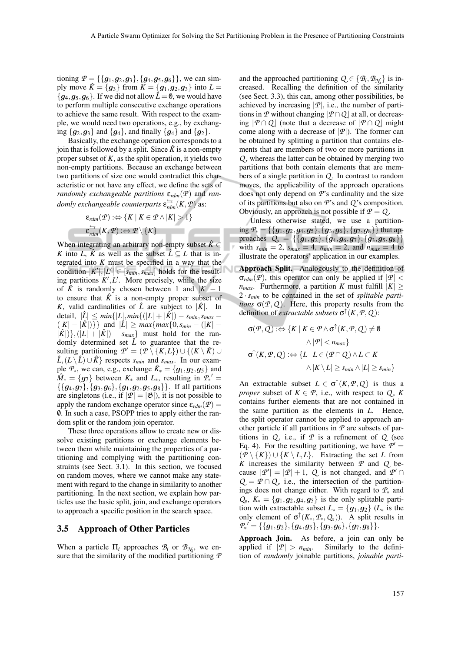tioning  $P = \{\{g_1, g_2, g_3\}, \{g_4, g_5, g_6\}\}\,$ , we can simply move  $\hat{K} = \{g_3\}$  from  $K = \{g_1, g_2, g_3\}$  into  $L =$  ${g_4, g_5, g_6}$ . If we did not allow  $\hat{L} = \emptyset$ , we would have to perform multiple consecutive exchange operations to achieve the same result. With respect to the example, we would need two operations, e.g., by exchanging  ${g_2, g_3}$  and  ${g_4}$ , and finally  ${g_4}$  and  ${g_2}$ .

Basically, the exchange operation corresponds to a join that is followed by a split. Since  $\hat{K}$  is a non-empty proper subset of *K*, as the split operation, it yields two non-empty partitions. Because an exchange between two partitions of size one would contradict this characteristic or not have any effect, we define the sets of *randomly exchangeable partitions* ε*rdm*(*P*) and *randomly exchangeable counterparts* ε *rdm*(*K*,*P*) as:

$$
\varepsilon_{rdm}(\mathcal{P}) : \Leftrightarrow \{K \mid K \in \mathcal{P} \land |K| > 1\}
$$
  

$$
\varepsilon_{rdm}^{\Leftrightarrow}(K, \mathcal{P}) : \Leftrightarrow \mathcal{P} \setminus \{K\}
$$

When integrating an arbitrary non-empty subset  $\hat{K}$  ⊂ *K* into *L*,  $\hat{K}$  as well as the subset  $\hat{L} \subseteq L$  that is integrated into *K* must be specified in a way that the condition  $|K'|, |L'| \in [s_{min}, s_{max}]$  holds for the resulting partitions  $K', L'$ . More precisely, while the size of  $\hat{K}$  is randomly chosen between 1 and  $|K| - 1$ to ensure that  $\hat{K}$  is a non-empty proper subset of *K*, valid cardinalities of  $\hat{L}$  are subject to  $|\hat{K}|$ . In  $\det$ detail,  $|\hat{L}| \leq min\{|L|, min\{|L| + |\hat{K}|) - s_{min}, s_{max} - \}$  $(|K| - |\hat{K}|)$ } and  $|\hat{L}| \geq max \{ max \{ 0, s_{min} - (|K| - \hat{K}|) \}$  $|\hat{K}|$ },( $|L| + |\hat{K}|$ ) – *s<sub>max</sub>*} must hold for the randomly determined set  $\tilde{L}$  to guarantee that the resulting partitioning  $\mathcal{P}' = (\mathcal{P} \setminus \{K, L\}) \cup \{ (K \setminus \hat{K}) \cup$  $\hat{L}$ ,  $(L \setminus \hat{L}) \cup \hat{K}$  respects *s<sub>min</sub>* and *s<sub>max</sub>*. In our example  $P_*$ , we can, e.g., exchange  $\hat{K}_* = \{g_1, g_2, g_5\}$  and  $\hat{M}_* = \{g_7\}$  between  $K_*$  and  $L_*$ , resulting in  $\mathcal{P}_*$ '  $\{\{g_4,g_7\},\{g_3,g_6\},\{g_1,g_2,g_5,g_8\}\}\$ . If all partitions are singletons (i.e., if  $|\mathcal{P}| = |\mathfrak{G}|$ ), it is not possible to apply the random exchange operator since  $\varepsilon_{rdm}(\mathcal{P}) =$ 0/. In such a case, PSOPP tries to apply either the random split or the random join operator.

These three operations allow to create new or dissolve existing partitions or exchange elements between them while maintaining the properties of a partitioning and complying with the partitioning constraints (see Sect. 3.1). In this section, we focused on random moves, where we cannot make any statement with regard to the change in similarity to another partitioning. In the next section, we explain how particles use the basic split, join, and exchange operators to approach a specific position in the search space.

### 3.5 Approach of Other Particles

When a particle  $\Pi_i$  approaches  $\mathcal{B}_i$  or  $\mathcal{B}_{\mathcal{N}_i}$ , we ensure that the similarity of the modified partitioning *P*

and the approached partitioning  $Q \in \{B_i, B_{\mathcal{N}_i}\}\$ is increased. Recalling the definition of the similarity (see Sect. 3.3), this can, among other possibilities, be achieved by increasing  $|P|$ , i.e., the number of partitions in  $P$  without changing  $|P \cap Q|$  at all, or decreasing  $|P \cap Q|$  (note that a decrease of  $|P \cap Q|$  might come along with a decrease of  $|\mathcal{P}|$ ). The former can be obtained by splitting a partition that contains elements that are members of two or more partitions in *Q* , whereas the latter can be obtained by merging two partitions that both contain elements that are members of a single partition in *Q*. In contrast to random moves, the applicability of the approach operations does not only depend on *P*'s cardinality and the size of its partitions but also on *P*'s and *Q* 's composition. Obviously, an approach is not possible if  $P = Q$ .

Unless otherwise stated, we use a partitioning  $P_* = \{\{g_1, g_2, g_4, g_5\}, \{g_3, g_6\}, \{g_7, g_8\}\}\$  that approaches  $Q_* = \{\{g_1, g_2\}, \{g_4, g_6, g_7\}, \{g_3, g_5, g_8\}\}\$ with  $s_{min} = 2$ ,  $s_{max} = 4$ ,  $n_{min} = 2$ , and  $n_{max} = 4$  to illustrate the operators' application in our examples.

Approach Split. Analogously to the definition of  $\sigma_{rdm}(P)$ , this operator can only be applied if  $|P|$  < *n*<sub>max</sub>. Furthermore, a partition *K* must fulfill  $|K| \ge$ 2 ·*smin* to be contained in the set of *splitable partitions*  $\sigma$ (*P*,*Q*). Here, this property results from the definition of *extractable subsets* σ ↑ (*K*,*P*,*Q* ):

$$
\sigma(\mathcal{P}, Q) : \Leftrightarrow \{K \mid K \in \mathcal{P} \land \sigma^{\uparrow}(K, \mathcal{P}, Q) \neq \emptyset
$$
  

$$
\land |\mathcal{P}| < n_{max}\}
$$
  

$$
\sigma^{\uparrow}(K, \mathcal{P}, Q) : \Leftrightarrow \{L \mid L \in (\mathcal{P} \cap Q) \land L \subset K
$$
  

$$
\land |K \setminus L| \geq s_{min} \land |L| \geq s_{min}\}
$$

An extractable subset  $L \in \sigma^{\uparrow}(K, \mathcal{P}, \mathcal{Q})$  is thus a *proper* subset of  $K \in \mathcal{P}$ , i.e., with respect to  $Q$ , K contains further elements that are not contained in the same partition as the elements in *L*. Hence, the split operator cannot be applied to approach another particle if all partitions in *P* are subsets of partitions in  $Q$ , i.e., if  $P$  is a refinement of  $Q$  (see Eq. 4). For the resulting partitioning, we have  $P' =$  $(P \setminus \{K\}) \cup \{K \setminus L, L\}$ . Extracting the set *L* from *K* increases the similarity between *P* and *Q* because  $|\mathcal{P}'| = |\mathcal{P}| + 1$ , *Q* is not changed, and  $\mathcal{P}' \cap$  $Q = P \cap Q$ , i.e., the intersection of the partitionings does not change either. With regard to *P*<sup>∗</sup> and  $Q_*$ ,  $K_* = \{g_1, g_2, g_4, g_5\}$  is the only splitable partition with extractable subset  $L_* = \{g_1, g_2\}$  ( $L_*$  is the only element of  $\sigma^{\uparrow}(K_*, P_*, Q_*)$ ). A split results in  ${\overline {{\varphi _*}'}} = \{ \{ {\overline {{g_1},{g_2}\}}, {\overline {\{g_4},{g_5}\}}, {\overline {\{g_3},{g_6\}}},{\overline {\{g_7},{g_8\}}}\}.$ 

Approach Join. As before, a join can only be applied if  $|\mathcal{P}| > n_{min}$ . Similarly to the definition of *randomly* joinable partitions, *joinable parti-*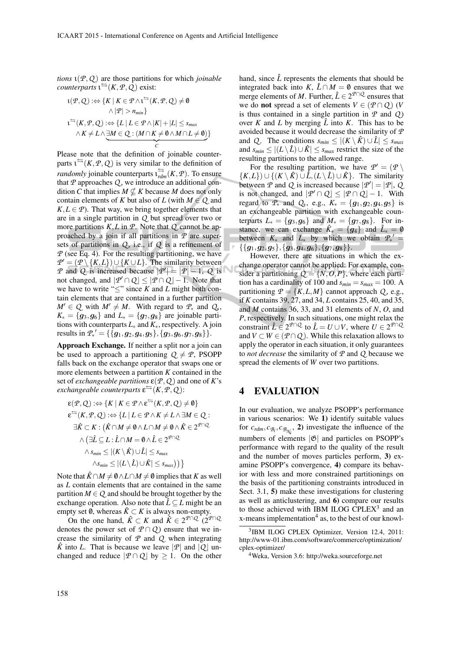*tions* ι(*P*,*Q* ) are those partitions for which *joinable counterparts*  $\iota^{\rightharpoonup}(K, \mathcal{P}, \mathcal{Q})$  exist:

$$
L(\mathcal{P}, Q) : \Leftrightarrow \{K \mid K \in \mathcal{P} \land L^{\Leftrightarrow}(K, \mathcal{P}, Q) \neq \emptyset
$$
  
 
$$
\land |\mathcal{P}| > n_{min}\}
$$
  

$$
L^{\Leftrightarrow}(K, \mathcal{P}, Q) : \Leftrightarrow \{L \mid L \in \mathcal{P} \land |K| + |L| \leq s_{max}
$$
  

$$
\land K \neq L \land \exists M \in Q : (M \cap K \neq \emptyset \land M \cap L \neq \emptyset)\}
$$

Please note that the definition of joinable counterparts  $\iota^{\rightharpoonup}(K, \mathcal{P}, \mathcal{Q})$  is very similar to the definition of *randomly* joinable counterparts  $\iota_{rdm}^{\Longleftrightarrow}(K, \mathcal{P})$ . To ensure that  $P$  approaches  $Q$ , we introduce an additional condition *C* that implies  $M \nsubseteq K$  because *M* does not only contain elements of *K* but also of *L* (with  $M \in Q$  and  $K, L \in \mathcal{P}$ ). That way, we bring together elements that are in a single partition in *Q* but spread over two or more partitions *K*,*L* in *P*. Note that *Q* cannot be approached by a join if all partitions in *P* are supersets of partitions in  $Q$ , i.e., if  $Q$  is a refinement of *P* (see Eq. 4). For the resulting partitioning, we have  $P' = (P \setminus {K, L}) \cup {K \cup L}$ . The similarity between *P* and *Q* is increased because  $|P'| = |P| - 1$ , *Q* is not changed, and  $|P' \cap Q| \leq |P \cap Q| - 1$ . Note that we have to write " $\leq$ " since *K* and *L* might both contain elements that are contained in a further partition  $M' \in Q$  with  $M' \neq M$ . With regard to  $\mathcal{P}_*$  and  $Q_*$ ,  $K_* = \{g_3, g_6\}$  and  $L_* = \{g_7, g_8\}$  are joinable partitions with counterparts *L*<sup>∗</sup> and *K*∗, respectively. A join results in  $\mathcal{P}_{*}^{\prime} = {\{\{g_{1},g_{2},g_{4},g_{5}\},\{g_{3},g_{6},g_{7},g_{8}\}\}}.$ 

Approach Exchange. If neither a split nor a join can be used to approach a partitioning  $Q \neq P$ , PSOPP falls back on the exchange operator that swaps one or more elements between a partition *K* contained in the set of *exchangeable partitions*  $\varepsilon$ ( $P$ ,  $Q$ ) and one of *K*'s *exchangeable counterparts*  $\epsilon^{\leq}(K, P, Q)$ :

$$
\varepsilon(\mathcal{P}, Q) : \Leftrightarrow \{K \mid K \in \mathcal{P} \wedge \varepsilon^{\leftrightharpoons}(K, \mathcal{P}, Q) \neq \emptyset\}
$$
  
\n
$$
\varepsilon^{\leftrightharpoons}(K, \mathcal{P}, Q) : \Leftrightarrow \{L \mid L \in \mathcal{P} \wedge K \neq L \wedge \exists M \in Q : \exists \hat{K} \subset K : (\hat{K} \cap M \neq \emptyset \wedge L \cap M \neq \emptyset \wedge \hat{K} \in 2^{\mathcal{P} \cap Q} \wedge (\exists \hat{L} \subseteq L : \hat{L} \cap M = \emptyset \wedge \hat{L} \in 2^{\mathcal{P} \cap Q} \wedge s_{\min} \le |(K \setminus \hat{K}) \cup \hat{L}| \le s_{\max} \wedge s_{\min} \le |(L \setminus \hat{L}) \cup \hat{K}| \le s_{\max})\}
$$

Note that  $\hat{K} \cap M \neq \emptyset \wedge L \cap M \neq \emptyset$  implies that *K* as well as *L* contain elements that are contained in the same partition  $M \in Q$  and should be brought together by the exchange operation. Also note that  $\hat{L} \subseteq L$  might be an empty set  $\emptyset$ , whereas  $\hat{K} \subset K$  is always non-empty.

On the one hand,  $\hat{K} \subset K$  and  $\hat{K} \in 2^{\mathcal{P} \cap Q}$  ( $2^{\mathcal{P} \cap Q}$ denotes the power set of  $P \cap Q$  ensure that we increase the similarity of *P* and *Q* when integrating  $\hat{K}$  into *L*. That is because we leave  $|\mathcal{P}|$  and  $|Q|$  unchanged and reduce  $|P \cap Q|$  by  $\geq 1$ . On the other hand, since  $\hat{L}$  represents the elements that should be integrated back into *K*,  $\hat{L} \cap M = \emptyset$  ensures that we merge elements of *M*. Further,  $\hat{L} \in 2^{\mathcal{P} \cap \mathcal{Q}}$  ensures that we do **not** spread a set of elements  $V \in (P \cap Q)$  (*V* is thus contained in a single partition in *P* and *Q* ) over *K* and *L* by merging  $\hat{L}$  into *K*. This has to be avoided because it would decrease the similarity of *P* and *Q*. The conditions  $s_{min} \leq |(K \setminus \hat{K}) \cup \hat{L}| \leq s_{max}$ and  $s_{min} \leq |(L \setminus \hat{L}) \cup \hat{K}| \leq s_{max}$  restrict the size of the resulting partitions to the allowed range.

For the resulting partition, we have  $P' = (P \setminus \mathbb{R})$  $\{K, L\}$ ) ∪  $\{(K \setminus \hat{K}) \cup \hat{L}, (L \setminus \hat{L}) \cup \hat{K}\}\$ . The similarity between  $\mathcal{P}$  and  $\mathcal{Q}$  is increased because  $|\mathcal{P}'| = |\mathcal{P}|$ ,  $\mathcal{Q}$ is not changed, and  $|P' \cap Q| \leq |P \cap Q| - 1$ . With regard to  $P_*$  and  $Q_*$ , e.g.,  $K_* = \{g_1, g_2, g_4, g_5\}$  is an exchangeable partition with exchangeable counterparts  $L_* = \{g_3, g_6\}$  and  $M_* = \{g_7, g_8\}$ . For instance, we can exchange  $\hat{K}_* = \{g_4\}$  and  $\hat{L}_* = \emptyset$ between  $K_*$  and  $L_*$  by which we obtain  $\mathcal{P}_*$  =  $\{\{g_1,g_2,g_5\},\{g_3,g_4,g_6\},\{g_7,g_8\}\}.$  $\sim$ 

However, there are situations in which the exchange operator cannot be applied: For example, consider a partitioning  $Q = \{N, O, P\}$ , where each partition has a cardinality of 100 and  $s_{min} = s_{max} = 100$ . A partitioning  $P = \{K, L, M\}$  cannot approach *Q*, e.g., if *K* contains 39, 27, and 34, *L* contains 25, 40, and 35, and *M* contains 36, 33, and 31 elements of *N*, *O*, and *P*, respectively. In such situations, one might relax the constraint  $\hat{L} \in 2^{\mathcal{P} \cap \mathcal{Q}}$  to  $\hat{L} = U \cup V$ , where  $U \in 2^{\mathcal{P} \cap \mathcal{Q}}$ and  $V \subset W \in (P \cap Q)$ . While this relaxation allows to apply the operator in each situation, it only guarantees to *not decrease* the similarity of *P* and *Q* because we spread the elements of *W* over two partitions.

## 4 EVALUATION

In our evaluation, we analyze PSOPP's performance in various scenarios: We 1) identify suitable values for  $c_{rdm}$ ,  $c_{\mathcal{B}_i}$ ,  $c_{\mathcal{B}_{\mathcal{N}_i}}$ , 2) investigate the influence of the numbers of elements  $|\mathfrak{G}|$  and particles on PSOPP's performance with regard to the quality of the result and the number of moves particles perform, 3) examine PSOPP's convergence, 4) compare its behavior with less and more constrained partitionings on the basis of the partitioning constraints introduced in Sect. 3.1, 5) make these investigations for clustering as well as anticlustering, and 6) compare our results to those achieved with IBM ILOG CPLEX $3$  and an x-means implementation<sup>4</sup> as, to the best of our knowl-

<sup>3</sup> IBM ILOG CPLEX Optimizer, Version 12.4, 2011: http://www-01.ibm.com/software/commerce/optimization/ cplex-optimizer/

<sup>4</sup>Weka, Version 3.6: http://weka.sourceforge.net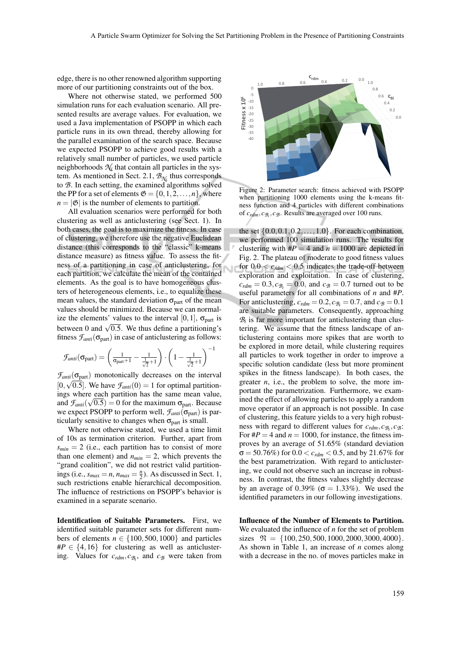Ń

edge, there is no other renowned algorithm supporting more of our partitioning constraints out of the box.

Where not otherwise stated, we performed 500 simulation runs for each evaluation scenario. All presented results are average values. For evaluation, we used a Java implementation of PSOPP in which each particle runs in its own thread, thereby allowing for the parallel examination of the search space. Because we expected PSOPP to achieve good results with a relatively small number of particles, we used particle neighborhoods  $\mathcal{N}_i$  that contain all particles in the system. As mentioned in Sect. 2.1, *BN<sup>i</sup>* thus corresponds to *B*. In each setting, the examined algorithms solved the PP for a set of elements  $\mathfrak{G} = \{0, 1, 2, \ldots, n\}$ , where  $n = |\mathfrak{G}|$  is the number of elements to partition.

All evaluation scenarios were performed for both clustering as well as anticlustering (see Sect. 1). In both cases, the goal is to maximize the fitness. In case of clustering, we therefore use the negative Euclidean distance (this corresponds to the "classic" k-means distance measure) as fitness value. To assess the fitness of a partitioning in case of anticlustering, for each partition, we calculate the mean of the contained elements. As the goal is to have homogeneous clusters of heterogeneous elements, i.e., to equalize these mean values, the standard deviation  $\sigma_{part}$  of the mean values should be minimized. Because we can normalize the elements' values to the interval [0, 1],  $\sigma_{part}$  is between 0 and  $\sqrt{0.5}$ . We thus define a partitioning's fitness  $\mathcal{F}_{anti}(\sigma_{part})$  in case of anticlustering as follows:

$$
\mathcal{F}_{anti}(\sigma_{part}) = \left(\frac{1}{\sigma_{part}+1} - \frac{1}{\frac{1}{\sqrt{2}}+1}\right) \cdot \left(1 - \frac{1}{\frac{1}{\sqrt{2}}+1}\right)^{-1}
$$

 $\mathcal{F}_{anti}(\sigma_{part})$  monotonically decreases on the interval  $[0, \sqrt{0.5}]$ . We have  $\mathcal{F}_{anti}(0) = 1$  for optimal partitionings where each partition has the same mean value, and  $f_{anti}(\sqrt{0.5}) = 0$  for the maximum  $\sigma_{part}$ . Because we expect PSOPP to perform well,  $F_{anti}(\sigma_{part})$  is particularly sensitive to changes when  $\sigma_{part}$  is small.

Where not otherwise stated, we used a time limit of 10s as termination criterion. Further, apart from  $s_{min} = 2$  (i.e., each partition has to consist of more than one element) and  $n_{min} = 2$ , which prevents the "grand coalition", we did not restrict valid partitionings (i.e.,  $s_{max} = n$ ,  $n_{max} = \frac{n}{2}$ ). As discussed in Sect. 1, such restrictions enable hierarchical decomposition. The influence of restrictions on PSOPP's behavior is examined in a separate scenario.

Identification of Suitable Parameters. First, we identified suitable parameter sets for different numbers of elements  $n \in \{100, 500, 1000\}$  and particles  $\#P \in \{4, 16\}$  for clustering as well as anticlustering. Values for  $c_{rdm}$ ,  $c_{\mathcal{B}_i}$ , and  $c_{\mathcal{B}}$  were taken from



Figure 2: Parameter search: fitness achieved with PSOPP when partitioning 1000 elements using the k-means fitness function and 4 particles with different combinations of *crdm*, *cB<sup>i</sup>* , *cB*. Results are averaged over 100 runs.

the set  $\{0.0, 0.1, 0.2, ..., 1.0\}$ . For each combination, we performed 100 simulation runs. The results for clustering with  $\#P = 4$  and  $n = 1000$  are depicted in Fig. 2. The plateau of moderate to good fitness values for  $0.0 < c_{rdm} < 0.5$  indicates the trade-off between exploration and exploitation. In case of clustering,  $c_{rdm} = 0.3$ ,  $c_{B} = 0.0$ , and  $c_B = 0.7$  turned out to be useful parameters for all combinations of *n* and #*P*. For anticlustering,  $c_{rdm} = 0.2$ ,  $c_{\mathcal{B}_i} = 0.7$ , and  $c_{\mathcal{B}} = 0.1$ are suitable parameters. Consequently, approaching  $B_i$  is far more important for anticlustering than clustering. We assume that the fitness landscape of anticlustering contains more spikes that are worth to be explored in more detail, while clustering requires all particles to work together in order to improve a specific solution candidate (less but more prominent spikes in the fitness landscape). In both cases, the greater *n*, i.e., the problem to solve, the more important the parametrization. Furthermore, we examined the effect of allowing particles to apply a random move operator if an approach is not possible. In case of clustering, this feature yields to a very high robustness with regard to different values for  $c_{rdm}, c_{\mathcal{B}_i}, c_{\mathcal{B}}$ : For  $\#P = 4$  and  $n = 1000$ , for instance, the fitness improves by an average of 51.65% (standard deviation  $\sigma = 50.76\%$ ) for  $0.0 < c_{rdm} < 0.5$ , and by 21.67% for the best parametrization. With regard to anticlustering, we could not observe such an increase in robustness. In contrast, the fitness values slightly decrease by an average of 0.39% ( $\sigma = 1.33\%$ ). We used the identified parameters in our following investigations.

Influence of the Number of Elements to Partition. We evaluated the influence of *n* for the set of problem sizes  $\mathfrak{N} = \{100, 250, 500, 1000, 2000, 3000, 4000\}.$ As shown in Table 1, an increase of *n* comes along with a decrease in the no. of moves particles make in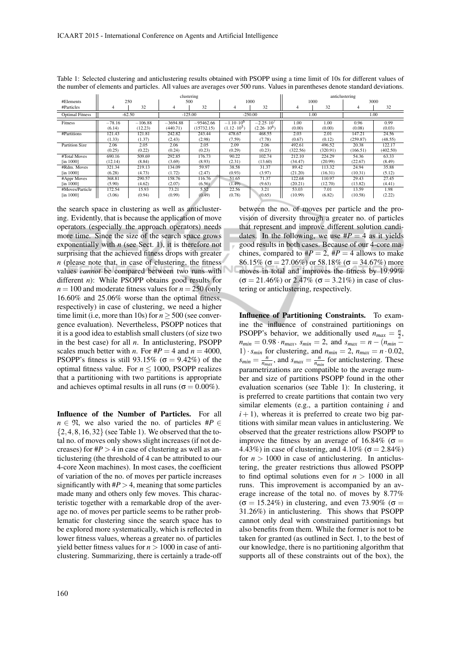|                        | clustering |           |            |             |                      | anticlustering       |          |          |          |          |
|------------------------|------------|-----------|------------|-------------|----------------------|----------------------|----------|----------|----------|----------|
| #Elements              |            | 250       |            | 500         |                      | 1000                 | 1000     |          | 3000     |          |
| #Particles             | 4          | 32        | 4          | 32          | 4                    | 32                   | 4        | 32       |          | 32       |
| <b>Optimal Fitness</b> | $-62.50$   |           | $-125.00$  |             | $-250.00$            |                      | 1.00     |          | 1.00     |          |
| Fitness                | $-78.16$   | $-106.88$ | $-3694.88$ | $-95462.66$ | $-1.10 \cdot 10^{6}$ | $-2.25 \cdot 10^{7}$ | 1.00     | 1.00     | 0.96     | 0.99     |
|                        | (6.14)     | (12.23)   | (440.71)   | (15732.15)  | $(1.12 \cdot 10^5)$  | $(2.26 \cdot 10^6)$  | (0.00)   | (0.00)   | (0.08)   | (0.03)   |
| #Partitions            | 121.43     | 121.81    | 242.82     | 243.44      | 478.67               | 468.55               | 2.03     | 2.01     | 147.21   | 24.56    |
|                        | (1.33)     | (1.37)    | (2.43)     | (2.98)      | (7.59)               | (7.78)               | (0.67)   | (0.12)   | (259.87) | (48.55)  |
| <b>Partition Size</b>  | 2.06       | 2.05      | 2.06       | 2.05        | 2.09                 | 2.06                 | 492.61   | 496.52   | 20.38    | 122.17   |
|                        | (0.25)     | (0.22)    | (0.24)     | (0.23)      | (0.29)               | (0.23)               | (322.56) | (320.91) | (166.51) | (402.50) |
| #Total Moves           | 690.16     | 509.69    | 292.85     | 176.73      | 90.22                | 102.74               | 212.10   | 224.29   | 54.36    | 63.33    |
| $[$ in 1000 $]$        | (12.14)    | (8.84)    | (3.69)     | (8.93)      | (2.31)               | (13.60)              | (34.47)  | (20.99)  | (22.67)  | (8.49)   |
| #Rdm. Moves            | 321.34     | 219.13    | 134.09     | 59.97       | 38.58                | 31.37                | 89.42    | 113.32   | 24.94    | 35.88    |
| $[$ in 1000 $]$        | (6.28)     | (4.73)    | (1.72)     | (2.47)      | (0.93)               | (3.97)               | (21.20)  | (16.31)  | (10.31)  | (5.12)   |
| #Appr Moves            | 368.81     | 290.57    | 158.76     | 116.76      | 51.65                | 71.37                | 122.68   | 110.97   | 29.43    | 27.45    |
| $[$ in 1000 $]$        | (5.90)     | (4.62)    | (2.07)     | (6.56)      | (1.49)               | (9.63)               | (20.21)  | (12.70)  | (13.82)  | (4.41)   |
| #Moves/Particle        | 172.54     | 15.93     | 73.21      | 5.52        | 22.56                | 3.21                 | 53.03    | 7.01     | 13.59    | 1.98     |
| $[$ in 1000 $]$        | (3.06)     | (0.94)    | (0.99)     | (0.49)      | (0.78)               | (0.65)               | (10.99)  | (6.82)   | (10.58)  | (2.22)   |

Table 1: Selected clustering and anticlustering results obtained with PSOPP using a time limit of 10s for different values of the number of elements and particles. All values are averages over 500 runs. Values in parentheses denote standard deviations.

the search space in clustering as well as anticlustering. Evidently, that is because the application of move operators (especially the approach operators) needs more time. Since the size of the search space grows exponentially with  $n$  (see Sect. 1), it is therefore not surprising that the achieved fitness drops with greater *n* (please note that, in case of clustering, the fitness values *cannot* be compared between two runs with different *n*): While PSOPP obtains good results for  $n = 100$  and moderate fitness values for  $n = 250$  (only 16.60% and 25.06% worse than the optimal fitness, respectively) in case of clustering, we need a higher time limit (i.e, more than 10s) for  $n \geq 500$  (see convergence evaluation). Nevertheless, PSOPP notices that it is a good idea to establish small clusters (of size two in the best case) for all *n*. In anticlustering, PSOPP scales much better with *n*. For  $\#P = 4$  and  $n = 4000$ , PSOPP's fitness is still 93.15% ( $\sigma = 9.42\%$ ) of the optimal fitness value. For  $n < 1000$ , PSOPP realizes that a partitioning with two partitions is appropriate and achieves optimal results in all runs ( $\sigma = 0.00\%$ ).

Influence of the Number of Particles. For all  $n \in \mathfrak{N}$ , we also varied the no. of particles #*P* ∈  $\{2,4,8,16,32\}$  (see Table 1). We observed that the total no. of moves only shows slight increases (if not decreases) for  $\#P > 4$  in case of clustering as well as anticlustering (the threshold of 4 can be attributed to our 4-core Xeon machines). In most cases, the coefficient of variation of the no. of moves per particle increases significantly with  $\#P > 4$ , meaning that some particles made many and others only few moves. This characteristic together with a remarkable drop of the average no. of moves per particle seems to be rather problematic for clustering since the search space has to be explored more systematically, which is reflected in lower fitness values, whereas a greater no. of particles yield better fitness values for  $n > 1000$  in case of anticlustering. Summarizing, there is certainly a trade-off between the no. of moves per particle and the provision of diversity through a greater no. of particles that represent and improve different solution candidates. In the following, we use  $\#P = 4$  as it yields good results in both cases. Because of our 4-core machines, compared to  $\#P = 2$ ,  $\#P = 4$  allows to make 86.15% ( $\sigma$  = 27.06%) or 58.18% ( $\sigma$  = 34.67%) more moves in total and improves the fitness by 19.99%  $(σ = 21.46%)$  or 2.47%  $(σ = 3.21%)$  in case of clustering or anticlustering, respectively.

Influence of Partitioning Constraints. To examine the influence of constrained partitionings on PSOPP's behavior, we additionally used  $n_{max} = \frac{n}{2}$ ,  $n_{min} = 0.98 \cdot n_{max}, s_{min} = 2, \text{ and } s_{max} = n - (n_{min} -$ 1)  $\cdot$  *s<sub>min</sub>* for clustering, and  $n_{min} = 2$ ,  $n_{max} = n \cdot 0.02$ ,  $s_{min} = \frac{n}{n_{max}}$ , and  $s_{max} = \frac{n}{n_{min}}$  for anticlustering. These parametrizations are compatible to the average number and size of partitions PSOPP found in the other evaluation scenarios (see Table 1): In clustering, it is preferred to create partitions that contain two very similar elements (e.g., a partition containing *i* and  $i + 1$ ), whereas it is preferred to create two big partitions with similar mean values in anticlustering. We observed that the greater restrictions allow PSOPP to improve the fitness by an average of 16.84% ( $\sigma$  = 4.43%) in case of clustering, and 4.10% ( $\sigma = 2.84\%$ ) for  $n > 1000$  in case of anticlustering. In anticlustering, the greater restrictions thus allowed PSOPP to find optimal solutions even for  $n > 1000$  in all runs. This improvement is accompanied by an average increase of the total no. of moves by 8.77%  $(\sigma = 15.24\%)$  in clustering, and even 73.90% ( $\sigma =$ 31.26%) in anticlustering. This shows that PSOPP cannot only deal with constrained partitionings but also benefits from them. While the former is not to be taken for granted (as outlined in Sect. 1, to the best of our knowledge, there is no partitioning algorithm that supports all of these constraints out of the box), the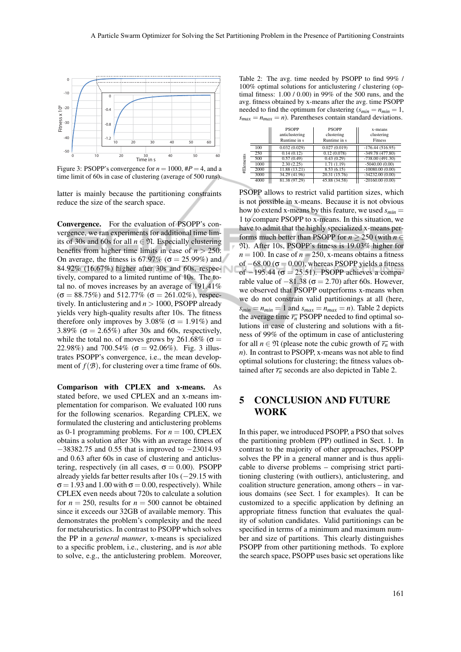

Figure 3: PSOPP's convergence for  $n = 1000$ ,  $\#P = 4$ , and a time limit of 60s in case of clustering (average of 500 runs).

latter is mainly because the partitioning constraints reduce the size of the search space.

Convergence. For the evaluation of PSOPP's convergence, we ran experiments for additional time limits of 30s and 60s for all  $n \in \mathfrak{N}$ . Especially clustering benefits from higher time limits in case of  $n > 250$ : On average, the fitness is 67.97% ( $\sigma = 25.99\%$ ) and 84.92% (16.67%) higher after 30s and 60s, respectively, compared to a limited runtime of 10s. The total no. of moves increases by an average of 191.41%  $(\sigma = 88.75\%)$  and 512.77% ( $\sigma = 261.02\%$ ), respectively. In anticlustering and *n* > 1000, PSOPP already yields very high-quality results after 10s. The fitness therefore only improves by 3.08% ( $\sigma = 1.91\%$ ) and 3.89% ( $\sigma = 2.65\%$ ) after 30s and 60s, respectively, while the total no. of moves grows by 261.68% ( $\sigma$  = 22.98%) and 700.54% ( $\sigma = 92.06\%$ ). Fig. 3 illustrates PSOPP's convergence, i.e., the mean development of  $f(\mathcal{B})$ , for clustering over a time frame of 60s.

Comparison with CPLEX and x-means. As stated before, we used CPLEX and an x-means implementation for comparison. We evaluated 100 runs for the following scenarios. Regarding CPLEX, we formulated the clustering and anticlustering problems as 0-1 programming problems. For  $n = 100$ , CPLEX obtains a solution after 30s with an average fitness of −38382.75 and 0.55 that is improved to −23014.93 and 0.63 after 60s in case of clustering and anticlustering, respectively (in all cases,  $\sigma = 0.00$ ). PSOPP already yields far better results after 10s (−29.15 with  $\sigma$  = 1.93 and 1.00 with  $\sigma$  = 0.00, respectively). While CPLEX even needs about 720s to calculate a solution for  $n = 250$ , results for  $n = 500$  cannot be obtained since it exceeds our 32GB of available memory. This demonstrates the problem's complexity and the need for metaheuristics. In contrast to PSOPP which solves the PP in a *general manner*, x-means is specialized to a specific problem, i.e., clustering, and is *not* able to solve, e.g., the anticlustering problem. Moreover,

Table 2: The avg. time needed by PSOPP to find 99% / 100% optimal solutions for anticlustering / clustering (optimal fitness: 1.00 / 0.00) in 99% of the 500 runs, and the avg. fitness obtained by x-means after the avg. time PSOPP needed to find the optimum for clustering  $(s_{min} = n_{min} = 1,$  $s_{max} = n_{max} = n$ ). Parentheses contain standard deviations.

|           |      | <b>PSOPP</b><br>anticlustering<br>Runtime in s | <b>PSOPP</b><br>clustering<br>Runtime in s | x-means<br>clustering<br><b>Fitness</b> |
|-----------|------|------------------------------------------------|--------------------------------------------|-----------------------------------------|
| #Elements | 100  | 0.032(0.029)                                   | 0.027(0.019)                               | $-176.44(516.95)$                       |
|           | 250  | 0.14(0.12)                                     | 0.12(0.078)                                | $-349.78(477.80)$                       |
|           | 500  | 0.57(0.49)                                     | 0.43(0.29)                                 | $-738,00(491,30)$                       |
|           | 1000 | 2.30(2.25)                                     | 1.71(1.19)                                 | $-5040.00(0.00)$                        |
|           | 2000 | 11.88 (13.21)                                  | 8.53(6.15)                                 | $-10080.00(0.00)$                       |
|           | 3000 | 34.29 (41.96)                                  | 20.31 (15.76)                              | $-34232.00(0.00)$                       |
|           | 4000 | 81.38 (97.29)                                  | 45.88 (34.58)                              | $-20160.00(0.00)$                       |

PSOPP allows to restrict valid partition sizes, which is not possible in x-means. Because it is not obvious how to extend x-means by this feature, we used  $s_{min}$  = 1 to compare PSOPP to x-means. In this situation, we have to admit that the highly specialized x-means performs much better than PSOPP for  $n \ge 250$  (with  $n \in$ N). After 10s, PSOPP's fitness is 19.03% higher for  $n = 100$ . In case of  $n = 250$ , x-means obtains a fitness of  $-68.00$  ( $\sigma$  = 0.00), whereas PSOPP yields a fitness of  $-195.44$  ( $\sigma = 25.51$ ). PSOPP achieves a comparable value of  $-81.38$  ( $\sigma$  = 2.70) after 60s. However, we observed that PSOPP outperforms x-means when we do not constrain valid partitionings at all (here,  $s_{min} = n_{min} = 1$  and  $s_{max} = n_{max} = n$ ). Table 2 depicts the average time  $\overline{r_n}$  PSOPP needed to find optimal solutions in case of clustering and solutions with a fitness of 99% of the optimum in case of anticlustering for all  $n \in \mathfrak{N}$  (please note the cubic growth of  $\overline{r_n}$  with *n*). In contrast to PSOPP, x-means was not able to find optimal solutions for clustering; the fitness values obtained after  $\overline{r_n}$  seconds are also depicted in Table 2.

# 5 CONCLUSION AND FUTURE WORK

In this paper, we introduced PSOPP, a PSO that solves the partitioning problem (PP) outlined in Sect. 1. In contrast to the majority of other approaches, PSOPP solves the PP in a general manner and is thus applicable to diverse problems – comprising strict partitioning clustering (with outliers), anticlustering, and coalition structure generation, among others – in various domains (see Sect. 1 for examples). It can be customized to a specific application by defining an appropriate fitness function that evaluates the quality of solution candidates. Valid partitionings can be specified in terms of a minimum and maximum number and size of partitions. This clearly distinguishes PSOPP from other partitioning methods. To explore the search space, PSOPP uses basic set operations like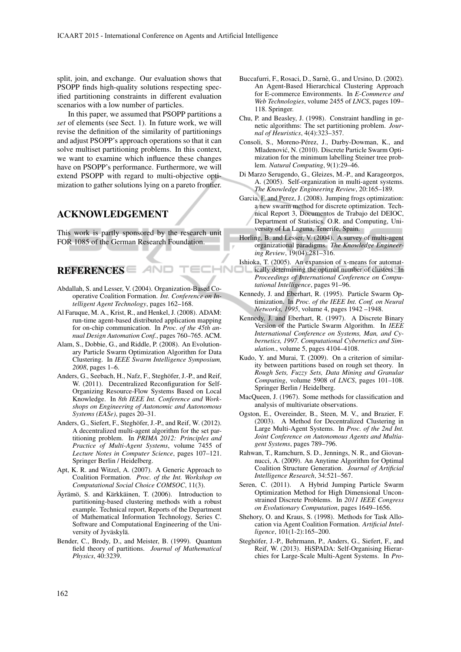split, join, and exchange. Our evaluation shows that PSOPP finds high-quality solutions respecting specified partitioning constraints in different evaluation scenarios with a low number of particles.

In this paper, we assumed that PSOPP partitions a *set* of elements (see Sect. 1). In future work, we will revise the definition of the similarity of partitionings and adjust PSOPP's approach operations so that it can solve multiset partitioning problems. In this context, we want to examine which influence these changes have on PSOPP's performance. Furthermore, we will extend PSOPP with regard to multi-objective optimization to gather solutions lying on a pareto frontier.

## ACKNOWLEDGEMENT

This work is partly sponsored by the research unit FOR 1085 of the German Research Foundation.

# REFERENCES

Abdallah, S. and Lesser, V. (2004). Organization-Based Cooperative Coalition Formation. *Int. Conference on Intelligent Agent Technology*, pages 162–168.

ANO

- Al Faruque, M. A., Krist, R., and Henkel, J. (2008). ADAM: run-time agent-based distributed application mapping for on-chip communication. In *Proc. of the 45th annual Design Automation Conf.*, pages 760–765. ACM.
- Alam, S., Dobbie, G., and Riddle, P. (2008). An Evolutionary Particle Swarm Optimization Algorithm for Data Clustering. In *IEEE Swarm Intelligence Symposium, 2008*, pages 1–6.
- Anders, G., Seebach, H., Nafz, F., Steghöfer, J.-P., and Reif, W. (2011). Decentralized Reconfiguration for Self-Organizing Resource-Flow Systems Based on Local Knowledge. In *8th IEEE Int. Conference and Workshops on Engineering of Autonomic and Autonomous Systems (EASe)*, pages 20–31.
- Anders, G., Siefert, F., Steghöfer, J.-P., and Reif, W. (2012). A decentralized multi-agent algorithm for the set partitioning problem. In *PRIMA 2012: Principles and Practice of Multi-Agent Systems*, volume 7455 of *Lecture Notes in Computer Science*, pages 107–121. Springer Berlin / Heidelberg.
- Apt, K. R. and Witzel, A. (2007). A Generic Approach to Coalition Formation. *Proc. of the Int. Workshop on Computational Social Choice COMSOC*, 11(3).
- Äyrämö, S. and Kärkkäinen, T. (2006). Introduction to partitioning-based clustering methods with a robust example. Technical report, Reports of the Department of Mathematical Information Technology, Series C. Software and Computational Engineering of the University of Jyväskylä.
- Bender, C., Brody, D., and Meister, B. (1999). Quantum field theory of partitions. *Journal of Mathematical Physics*, 40:3239.
- Buccafurri, F., Rosaci, D., Sarnè, G., and Ursino, D. (2002). An Agent-Based Hierarchical Clustering Approach for E-commerce Environments. In *E-Commerce and Web Technologies*, volume 2455 of *LNCS*, pages 109– 118. Springer.
- Chu, P. and Beasley, J. (1998). Constraint handling in genetic algorithms: The set partitioning problem. *Journal of Heuristics*, 4(4):323–357.
- Consoli, S., Moreno-Pérez, J., Darby-Dowman, K., and Mladenovic, N. (2010). Discrete Particle Swarm Opti- ´ mization for the minimum labelling Steiner tree problem. *Natural Computing*, 9(1):29–46.
- Di Marzo Serugendo, G., Gleizes, M.-P., and Karageorgos, A. (2005). Self-organization in multi-agent systems. *The Knowledge Engineering Review*, 20:165–189.
- Garcia, F. and Perez, J. (2008). Jumping frogs optimization: a new swarm method for discrete optimization. Technical Report 3, Documentos de Trabajo del DEIOC, Department of Statistics, O.R. and Computing, University of La Laguna, Tenerife, Spain.
- Horling, B. and Lesser, V. (2004). A survey of multi-agent organizational paradigms. *The Knowledge Engineering Review*, 19(04):281–316.
- Ishioka, T. (2005). An expansion of x-means for automatically determining the optimal number of clusters. In *Proceedings of International Conference on Computational Intelligence*, pages 91–96.

**INC** 

- Kennedy, J. and Eberhart, R. (1995). Particle Swarm Optimization. In *Proc. of the IEEE Int. Conf. on Neural Networks, 1995*, volume 4, pages 1942 –1948.
- Kennedy, J. and Eberhart, R. (1997). A Discrete Binary Version of the Particle Swarm Algorithm. In *IEEE International Conference on Systems, Man, and Cybernetics, 1997. Computational Cybernetics and Simulation.*, volume 5, pages 4104–4108.
- Kudo, Y. and Murai, T. (2009). On a criterion of similarity between partitions based on rough set theory. In *Rough Sets, Fuzzy Sets, Data Mining and Granular Computing*, volume 5908 of *LNCS*, pages 101–108. Springer Berlin / Heidelberg.
- MacQueen, J. (1967). Some methods for classification and analysis of multivariate observations.
- Ogston, E., Overeinder, B., Steen, M. V., and Brazier, F. (2003). A Method for Decentralized Clustering in Large Multi-Agent Systems. In *Proc. of the 2nd Int. Joint Conference on Autonomous Agents and Multiagent Systems*, pages 789–796.
- Rahwan, T., Ramchurn, S. D., Jennings, N. R., and Giovannucci, A. (2009). An Anytime Algorithm for Optimal Coalition Structure Generation. *Journal of Artificial Intelligence Research*, 34:521–567.
- Seren, C. (2011). A Hybrid Jumping Particle Swarm Optimization Method for High Dimensional Unconstrained Discrete Problems. In *2011 IEEE Congress on Evolutionary Computation*, pages 1649–1656.
- Shehory, O. and Kraus, S. (1998). Methods for Task Allocation via Agent Coalition Formation. *Artificial Intelligence*, 101(1-2):165–200.
- Steghöfer, J.-P., Behrmann, P., Anders, G., Siefert, F., and Reif, W. (2013). HiSPADA: Self-Organising Hierarchies for Large-Scale Multi-Agent Systems. In *Pro-*